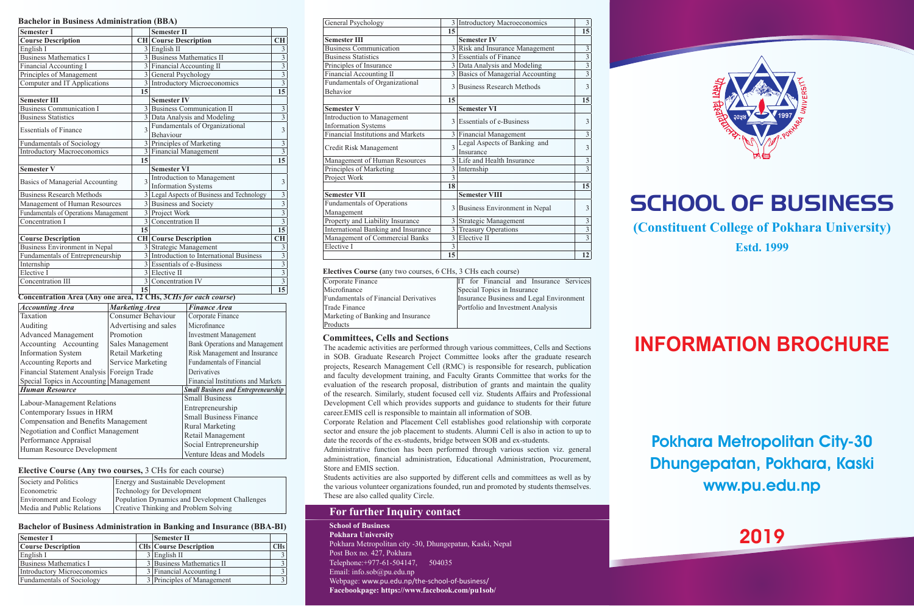|  |  | <b>Bachelor in Business Administration (BBA)</b> |  |  |  |
|--|--|--------------------------------------------------|--|--|--|
|--|--|--------------------------------------------------|--|--|--|

| <b>Semester I</b>                                                      |                                             |                         | <b>Semester II</b>           |                                            |                                           |
|------------------------------------------------------------------------|---------------------------------------------|-------------------------|------------------------------|--------------------------------------------|-------------------------------------------|
| <b>Course Description</b>                                              |                                             |                         | <b>CH</b> Course Description |                                            | <b>CH</b>                                 |
| English I                                                              |                                             |                         | $3$ English II               |                                            | 3                                         |
| <b>Business Mathematics I</b>                                          |                                             |                         |                              | 3 Business Mathematics II                  | $\overline{3}$                            |
| Financial Accounting I                                                 |                                             |                         |                              | 3 Financial Accounting II                  | $\overline{3}$                            |
| Principles of Management                                               |                                             |                         | 3 General Psychology         |                                            | $\overline{\overline{3}}$                 |
| Computer and IT Applications                                           |                                             |                         |                              | 3 Introductory Microeconomics              | $\overline{3}$                            |
|                                                                        |                                             | 15                      |                              |                                            | 15                                        |
| <b>Semester III</b>                                                    |                                             |                         | <b>Semester IV</b>           |                                            |                                           |
| <b>Business Communication I</b>                                        |                                             |                         |                              | 3 Business Communication II                | $\overline{\mathbf{3}}$                   |
| <b>Business Statistics</b>                                             |                                             |                         |                              | 3 Data Analysis and Modeling               | $\overline{\mathbf{3}}$                   |
| <b>Essentials of Finance</b>                                           |                                             | 3                       |                              | Fundamentals of Organizational             | 3                                         |
|                                                                        |                                             |                         | Behaviour                    |                                            |                                           |
| <b>Fundamentals of Sociology</b>                                       |                                             |                         |                              | 3 Principles of Marketing                  | $\overline{3}$                            |
| Introductory Macroeconomics                                            |                                             |                         |                              | 3 Financial Management                     | 3                                         |
|                                                                        |                                             | 15                      |                              |                                            | 15                                        |
| <b>Semester V</b>                                                      |                                             |                         | <b>Semester VI</b>           |                                            |                                           |
| Basics of Managerial Accounting                                        |                                             | $\mathbf{3}$            |                              | Introduction to Management                 | 3                                         |
|                                                                        |                                             |                         | <b>Information Systems</b>   |                                            |                                           |
| <b>Business Research Methods</b>                                       |                                             |                         |                              | 3 Legal Aspects of Business and Technology | $\overline{\mathbf{3}}$<br>$\overline{3}$ |
| Management of Human Resources                                          |                                             |                         |                              | 3 Business and Society                     |                                           |
| Fundamentals of Operations Management                                  |                                             |                         | 3 Project Work               |                                            | $\overline{3}$                            |
| Concentration I                                                        |                                             |                         | 3 Concentration II           |                                            | $\overline{\mathbf{3}}$                   |
|                                                                        |                                             | 15                      |                              |                                            | 15                                        |
| <b>Course Description</b>                                              |                                             |                         | <b>CH</b> Course Description |                                            | <b>CH</b>                                 |
| <b>Business Environment in Nepal</b>                                   |                                             |                         |                              | 3 Strategic Management                     | 3<br>$\overline{3}$                       |
| Fundamentals of Entrepreneurship                                       |                                             |                         |                              | 3 Introduction to International Business   |                                           |
| Internship                                                             |                                             |                         | 3 Essentials of e-Business   |                                            | $\overline{3}$                            |
| Elective I                                                             |                                             |                         | 3 Elective II                |                                            | $\overline{3}$                            |
| Concentration III                                                      |                                             |                         | 3 Concentration IV           |                                            | $\overline{\mathbf{3}}$                   |
| <b>Concentration Area (Any one area, 12 CHs, 3CHs for each course)</b> |                                             | 15                      |                              |                                            | 15                                        |
| <b>Accounting Area</b>                                                 | <b>Marketing Area</b>                       |                         |                              | <b>Finance Area</b>                        |                                           |
| Taxation                                                               |                                             |                         | Consumer Behaviour           | Corporate Finance                          |                                           |
|                                                                        |                                             |                         |                              |                                            |                                           |
| Auditing                                                               |                                             | Advertising and sales   |                              | Microfinance                               |                                           |
| <b>Advanced Management</b>                                             | Promotion                                   |                         |                              | <b>Investment Management</b>               |                                           |
| Accounting Accounting                                                  |                                             | Sales Management        |                              | <b>Bank Operations and Management</b>      |                                           |
| <b>Information System</b>                                              |                                             | <b>Retail Marketing</b> |                              | Risk Management and Insurance              |                                           |
|                                                                        | Accounting Reports and<br>Service Marketing |                         |                              | <b>Fundamentals of Financial</b>           |                                           |
| Financial Statement Analysis<br>Foreign Trade                          |                                             |                         |                              | Derivatives                                |                                           |
| Special Topics in Accounting<br>Management                             |                                             |                         |                              | Financial Institutions and Markets         |                                           |
| <b>Human Resource</b>                                                  |                                             |                         |                              | <b>Small Business and Entrepreneurship</b> |                                           |
| Labour-Management Relations                                            |                                             |                         |                              | <b>Small Business</b>                      |                                           |
| Contemporary Issues in HRM                                             |                                             |                         |                              | Entrepreneurship                           |                                           |
| Compensation and Benefits Management                                   |                                             |                         |                              | <b>Small Business Finance</b>              |                                           |
| Negotiation and Conflict Management                                    |                                             |                         |                              | <b>Rural Marketing</b>                     |                                           |
|                                                                        |                                             |                         |                              | Retail Management                          |                                           |
| Performance Appraisal                                                  |                                             |                         |                              |                                            |                                           |

### **Elective Course (Any two courses,** 3 CHs for each course)

Human Resource Development

| Society and Politics       | <b>Energy and Sustainable Development</b>      |
|----------------------------|------------------------------------------------|
| Econometric                | <b>Technology for Development</b>              |
| Environment and Ecology    | Population Dynamics and Development Challenges |
| Media and Public Relations | Creative Thinking and Problem Solving          |

Social Entrepreneurship Venture Ideas and Models

### **Bachelor of Business Administration in Banking and Insurance (BBA-BI)**

| <b>Semester I</b>                | <b>Semester II</b>            |                       |
|----------------------------------|-------------------------------|-----------------------|
| <b>Course Description</b>        | <b>CHs Course Description</b> | <b>CH<sub>s</sub></b> |
| English I                        | $3$ English II                |                       |
| Business Mathematics I           | 3 Business Mathematics II     |                       |
| Introductory Microeconomics      | 3 Financial Accounting I      |                       |
| <b>Fundamentals of Sociology</b> | 3 Principles of Management    |                       |

| General Psychology                         |                         | 3 Introductory Macroeconomics     | 3                         |
|--------------------------------------------|-------------------------|-----------------------------------|---------------------------|
|                                            | 15                      |                                   | 15                        |
| <b>Semester III</b>                        |                         | <b>Semester IV</b>                |                           |
| <b>Business Communication</b>              |                         | 3 Risk and Insurance Management   | $\overline{\mathbf{3}}$   |
| <b>Business Statistics</b>                 |                         | 3 Essentials of Finance           | $\overline{\overline{3}}$ |
| Principles of Insurance                    |                         | 3 Data Analysis and Modeling      | $\overline{3}$            |
| Financial Accounting II                    |                         | 3 Basics of Managerial Accounting | $\overline{3}$            |
| Fundamentals of Organizational<br>Behavior | $\mathcal{E}$           | Business Research Methods         | 3                         |
|                                            | 15                      |                                   | 15                        |
| <b>Semester V</b>                          |                         | <b>Semester VI</b>                |                           |
| Introduction to Management                 |                         | 3 Essentials of e-Business        | 3                         |
| <b>Information Systems</b>                 |                         |                                   |                           |
| Financial Institutions and Markets         |                         | 3 Financial Management            | 3                         |
|                                            |                         | Legal Aspects of Banking and      | 3                         |
| Credit Risk Management                     | $\overline{\mathbf{3}}$ | Insurance                         |                           |
| Management of Human Resources              |                         | 3 Life and Health Insurance       | $\mathfrak{Z}$            |
| Principles of Marketing                    |                         | 3 Internship                      | $\overline{3}$            |
| Project Work                               | 3                       |                                   |                           |
|                                            | 18                      |                                   | 15                        |
| <b>Semester VII</b>                        |                         | <b>Semester VIII</b>              |                           |
| Fundamentals of Operations                 | 3                       |                                   | 3                         |
| Management                                 |                         | Business Environment in Nepal     |                           |
| Property and Liability Insurance           |                         | 3 Strategic Management            | $\overline{\mathbf{3}}$   |
| International Banking and Insurance        |                         | 3 Treasury Operations             | $\overline{\overline{3}}$ |
| Management of Commercial Banks             | 3                       | Elective II                       | $\overline{3}$            |
| Elective I                                 | $\overline{3}$          |                                   |                           |
|                                            | 15                      |                                   | 12                        |

#### **Electives Course (**any two courses, 6 CHs, 3 CHs each course)

| Corporate Finance                            | IT for Financial and Insurance Services  |
|----------------------------------------------|------------------------------------------|
| Microfinance                                 | Special Topics in Insurance              |
| <b>Fundamentals of Financial Derivatives</b> | Insurance Business and Legal Environment |
| Trade Finance                                | Portfolio and Investment Analysis        |
| Marketing of Banking and Insurance           |                                          |
| Products                                     |                                          |

### **Committees, Cells and Sections**

The academic activities are performed through various committees, Cells and Sections in SOB. Graduate Research Project Committee looks after the graduate research projects, Research Management Cell (RMC) is responsible for research, publication and faculty development training, and Faculty Grants Committee that works for the evaluation of the research proposal, distribution of grants and maintain the quality of the research. Similarly, student focused cell viz. Students Affairs and Professional Development Cell which provides supports and guidance to students for their future career.EMIS cell is responsible to maintain all information of SOB.

Corporate Relation and Placement Cell establishes good relationship with corporate sector and ensure the job placement to students. Alumni Cell is also in action to up to date the records of the ex-students, bridge between SOB and ex-students.

Administrative function has been performed through various section viz. general administration, financial administration, Educational Administration, Procurement, Store and EMIS section.

Students activities are also supported by different cells and committees as well as by the various volunteer organizations founded, run and promoted by students themselves. These are also called quality Circle.

# **For further Inquiry contact**

**School of Business Pokhara University** Pokhara Metropolitan city -30, Dhungepatan, Kaski, Nepal Post Box no. 427, Pokhara Telephone:+977-61-504147, 504035 Email: info.sob@pu.edu.np Webpage: www.pu.edu.np/the-school-of-business/ **Facebookpage: https://www.facebook.com/pu1sob/**



# SCHOOL OF BUSINESS

**(Constituent College of Pokhara University)**

**Estd. 1999**

# **INFORMATION BROCHURE**

Pokhara Metropolitan City-30 Dhungepatan, Pokhara, Kaski www.pu.edu.np